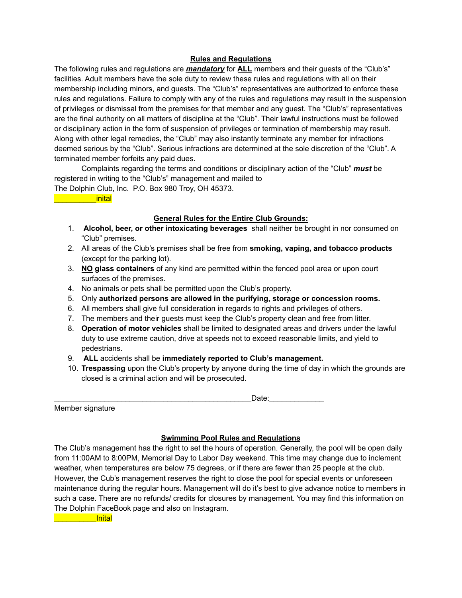## **Rules and Regulations**

The following rules and regulations are *mandatory* for **ALL** members and their guests of the "Club's" facilities. Adult members have the sole duty to review these rules and regulations with all on their membership including minors, and guests. The "Club's" representatives are authorized to enforce these rules and regulations. Failure to comply with any of the rules and regulations may result in the suspension of privileges or dismissal from the premises for that member and any guest. The "Club's" representatives are the final authority on all matters of discipline at the "Club". Their lawful instructions must be followed or disciplinary action in the form of suspension of privileges or termination of membership may result. Along with other legal remedies, the "Club" may also instantly terminate any member for infractions deemed serious by the "Club". Serious infractions are determined at the sole discretion of the "Club". A terminated member forfeits any paid dues.

Complaints regarding the terms and conditions or disciplinary action of the "Club" *must* be registered in writing to the "Club's" management and mailed to The Dolphin Club, Inc. P.O. Box 980 Troy, OH 45373.

\_\_\_\_\_\_\_\_\_\_inital

## **General Rules for the Entire Club Grounds:**

- 1. **Alcohol, beer, or other intoxicating beverages** shall neither be brought in nor consumed on "Club" premises.
- 2. All areas of the Club's premises shall be free from **smoking, vaping, and tobacco products** (except for the parking lot).
- 3. **NO glass containers** of any kind are permitted within the fenced pool area or upon court surfaces of the premises.
- 4. No animals or pets shall be permitted upon the Club's property.
- 5. Only **authorized persons are allowed in the purifying, storage or concession rooms.**
- 6. All members shall give full consideration in regards to rights and privileges of others.
- 7. The members and their guests must keep the Club's property clean and free from litter.
- 8. **Operation of motor vehicles** shall be limited to designated areas and drivers under the lawful duty to use extreme caution, drive at speeds not to exceed reasonable limits, and yield to pedestrians.
- 9. **ALL** accidents shall be **immediately reported to Club's management.**
- 10. **Trespassing** upon the Club's property by anyone during the time of day in which the grounds are closed is a criminal action and will be prosecuted.

\_\_\_\_\_\_\_\_\_\_\_\_\_\_\_\_\_\_\_\_\_\_\_\_\_\_\_\_\_\_\_\_\_\_\_\_\_\_\_\_\_\_\_\_\_\_\_Date:\_\_\_\_\_\_\_\_\_\_\_\_\_

Member signature

## **Swimming Pool Rules and Regulations**

The Club's management has the right to set the hours of operation. Generally, the pool will be open daily from 11:00AM to 8:00PM, Memorial Day to Labor Day weekend. This time may change due to inclement weather, when temperatures are below 75 degrees, or if there are fewer than 25 people at the club. However, the Cub's management reserves the right to close the pool for special events or unforeseen maintenance during the regular hours. Management will do it's best to give advance notice to members in such a case. There are no refunds/ credits for closures by management. You may find this information on The Dolphin FaceBook page and also on Instagram.

\_\_\_\_\_\_\_\_\_\_Inital